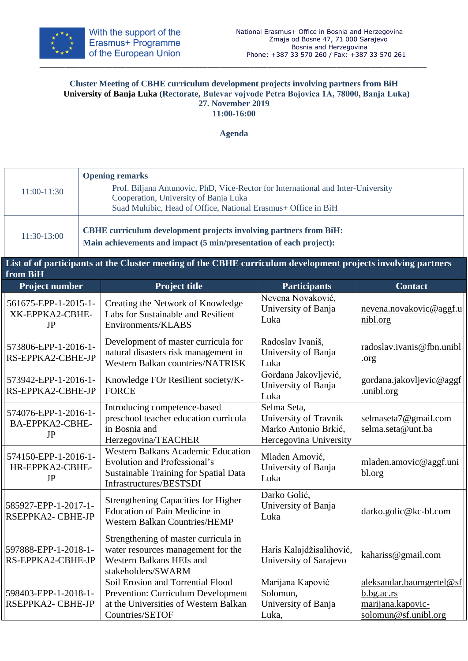

## **Cluster Meeting of CBHE curriculum development projects involving partners from BiH University of Banja Luka (Rectorate, Bulevar vojvode Petra Bojovica 1А, 78000, Banja Luka) 27. November 2019 11:00-16:00**

\_\_\_\_\_\_\_\_\_\_\_\_\_\_\_\_\_\_\_\_\_\_\_\_\_\_\_\_\_\_\_\_\_\_\_\_\_\_\_\_\_\_\_\_\_\_\_\_\_\_\_\_\_\_\_\_\_\_\_\_\_\_\_\_\_\_\_\_\_\_\_\_\_\_\_\_\_\_\_\_\_\_\_\_\_\_\_\_\_\_

**Agenda**

| 11:00-11:30                                                                                                               | <b>Opening remarks</b><br>Prof. Biljana Antunovic, PhD, Vice-Rector for International and Inter-University<br>Cooperation, University of Banja Luka<br>Suad Muhibic, Head of Office, National Erasmus+ Office in BiH |                                                                                                                                               |                                                                                        |                                                                                     |  |  |  |
|---------------------------------------------------------------------------------------------------------------------------|----------------------------------------------------------------------------------------------------------------------------------------------------------------------------------------------------------------------|-----------------------------------------------------------------------------------------------------------------------------------------------|----------------------------------------------------------------------------------------|-------------------------------------------------------------------------------------|--|--|--|
| 11:30-13:00                                                                                                               | <b>CBHE</b> curriculum development projects involving partners from BiH:<br>Main achievements and impact (5 min/presentation of each project):                                                                       |                                                                                                                                               |                                                                                        |                                                                                     |  |  |  |
| List of of participants at the Cluster meeting of the CBHE curriculum development projects involving partners<br>from BiH |                                                                                                                                                                                                                      |                                                                                                                                               |                                                                                        |                                                                                     |  |  |  |
| <b>Project number</b>                                                                                                     |                                                                                                                                                                                                                      | <b>Project title</b>                                                                                                                          | <b>Participants</b>                                                                    | <b>Contact</b>                                                                      |  |  |  |
| 561675-EPP-1-2015-1-<br>XK-EPPKA2-CBHE-<br><b>JP</b>                                                                      |                                                                                                                                                                                                                      | Creating the Network of Knowledge<br>Labs for Sustainable and Resilient<br>Environments/KLABS                                                 | Nevena Novaković,<br>University of Banja<br>Luka                                       | nevena.novakovic@aggf.u<br>nibl.org                                                 |  |  |  |
| 573806-EPP-1-2016-1-<br>RS-EPPKA2-CBHE-JP                                                                                 |                                                                                                                                                                                                                      | Development of master curricula for<br>natural disasters risk management in<br><b>Western Balkan countries/NATRISK</b>                        | Radoslav Ivaniš,<br>University of Banja<br>Luka                                        | radoslav.ivanis@fbn.unibl<br>.org                                                   |  |  |  |
| 573942-EPP-1-2016-1-<br>RS-EPPKA2-CBHE-JP                                                                                 |                                                                                                                                                                                                                      | Knowledge FOr Resilient society/K-<br><b>FORCE</b>                                                                                            | Gordana Jakovljević,<br>University of Banja<br>Luka                                    | gordana.jakovljevic@aggf<br>.unibl.org                                              |  |  |  |
| 574076-EPP-1-2016-1-<br>BA-EPPKA2-CBHE-<br>JP                                                                             |                                                                                                                                                                                                                      | Introducing competence-based<br>preschool teacher education curricula<br>in Bosnia and<br>Herzegovina/TEACHER                                 | Selma Seta,<br>University of Travnik<br>Marko Antonio Brkić,<br>Hercegovina University | selmaseta7@gmail.com<br>selma.seta@unt.ba                                           |  |  |  |
| 574150-EPP-1-2016-1-<br>HR-EPPKA2-CBHE-<br>JP                                                                             |                                                                                                                                                                                                                      | <b>Western Balkans Academic Education</b><br>Evolution and Professional's<br>Sustainable Training for Spatial Data<br>Infrastructures/BESTSDI | Mladen Amović,<br>University of Banja<br>Luka                                          | mladen.amovic@aggf.uni<br>bl.org                                                    |  |  |  |
| 585927-EPP-1-2017-1-<br>RSEPPKA2- CBHE-JP                                                                                 |                                                                                                                                                                                                                      | <b>Strengthening Capacities for Higher</b><br><b>Education of Pain Medicine in</b><br><b>Western Balkan Countries/HEMP</b>                    | Darko Golić,<br>University of Banja<br>Luka                                            | darko.golic@kc-bl.com                                                               |  |  |  |
| 597888-EPP-1-2018-1-<br>RS-EPPKA2-CBHE-JP                                                                                 |                                                                                                                                                                                                                      | Strengthening of master curricula in<br>water resources management for the<br><b>Western Balkans HEIs and</b><br>stakeholders/SWARM           | Haris Kalajdžisalihović,<br>University of Sarajevo                                     | kahariss@gmail.com                                                                  |  |  |  |
| 598403-EPP-1-2018-1-<br>RSEPPKA2- CBHE-JP                                                                                 |                                                                                                                                                                                                                      | Soil Erosion and Torrential Flood<br>Prevention: Curriculum Development<br>at the Universities of Western Balkan<br>Countries/SETOF           | Marijana Kapović<br>Solomun,<br>University of Banja<br>Luka,                           | aleksandar.baumgertel@sf<br>b.bg.ac.rs<br>marijana.kapovic-<br>solomun@sf.unibl.org |  |  |  |